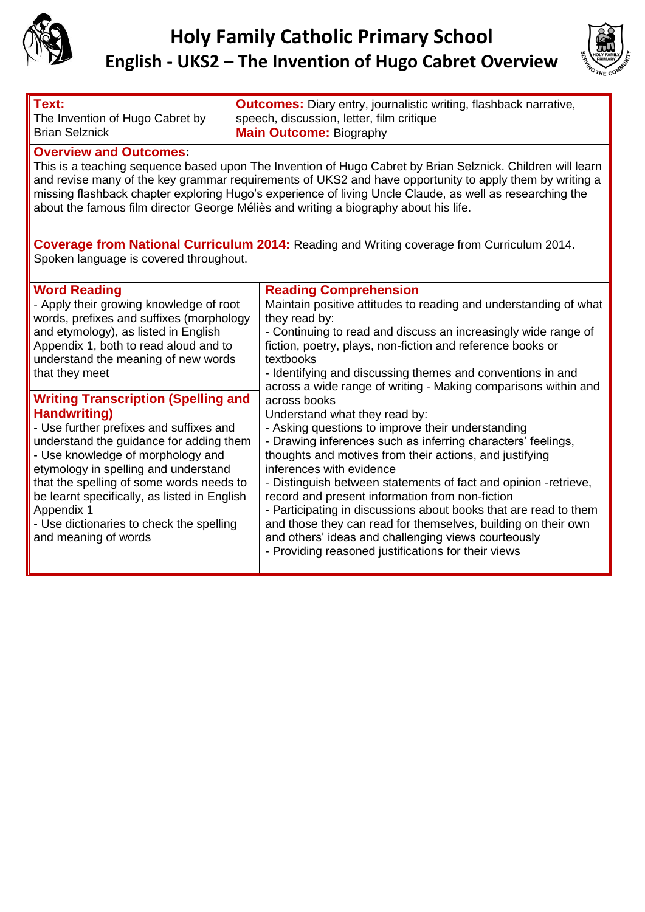



| Text:<br>The Invention of Hugo Cabret by<br><b>Brian Selznick</b>                                                                                                                                                                                                                                                                                                                                                                                          | <b>Outcomes:</b> Diary entry, journalistic writing, flashback narrative,<br>speech, discussion, letter, film critique<br><b>Main Outcome: Biography</b>                                                                                                                                                                                                                                                                                                                                                                                                                                                                            |  |
|------------------------------------------------------------------------------------------------------------------------------------------------------------------------------------------------------------------------------------------------------------------------------------------------------------------------------------------------------------------------------------------------------------------------------------------------------------|------------------------------------------------------------------------------------------------------------------------------------------------------------------------------------------------------------------------------------------------------------------------------------------------------------------------------------------------------------------------------------------------------------------------------------------------------------------------------------------------------------------------------------------------------------------------------------------------------------------------------------|--|
| <b>Overview and Outcomes:</b><br>This is a teaching sequence based upon The Invention of Hugo Cabret by Brian Selznick. Children will learn<br>and revise many of the key grammar requirements of UKS2 and have opportunity to apply them by writing a<br>missing flashback chapter exploring Hugo's experience of living Uncle Claude, as well as researching the<br>about the famous film director George Méliès and writing a biography about his life. |                                                                                                                                                                                                                                                                                                                                                                                                                                                                                                                                                                                                                                    |  |
| Coverage from National Curriculum 2014: Reading and Writing coverage from Curriculum 2014.<br>Spoken language is covered throughout.                                                                                                                                                                                                                                                                                                                       |                                                                                                                                                                                                                                                                                                                                                                                                                                                                                                                                                                                                                                    |  |
| <b>Word Reading</b><br>- Apply their growing knowledge of root<br>words, prefixes and suffixes (morphology<br>and etymology), as listed in English<br>Appendix 1, both to read aloud and to<br>understand the meaning of new words<br>that they meet                                                                                                                                                                                                       | <b>Reading Comprehension</b><br>Maintain positive attitudes to reading and understanding of what<br>they read by:<br>- Continuing to read and discuss an increasingly wide range of<br>fiction, poetry, plays, non-fiction and reference books or<br>textbooks<br>- Identifying and discussing themes and conventions in and<br>across a wide range of writing - Making comparisons within and                                                                                                                                                                                                                                     |  |
| <b>Writing Transcription (Spelling and</b><br>Handwriting)<br>- Use further prefixes and suffixes and<br>understand the guidance for adding them<br>- Use knowledge of morphology and<br>etymology in spelling and understand<br>that the spelling of some words needs to<br>be learnt specifically, as listed in English<br>Appendix 1<br>- Use dictionaries to check the spelling<br>and meaning of words                                                | across books<br>Understand what they read by:<br>- Asking questions to improve their understanding<br>- Drawing inferences such as inferring characters' feelings,<br>thoughts and motives from their actions, and justifying<br>inferences with evidence<br>- Distinguish between statements of fact and opinion -retrieve,<br>record and present information from non-fiction<br>- Participating in discussions about books that are read to them<br>and those they can read for themselves, building on their own<br>and others' ideas and challenging views courteously<br>- Providing reasoned justifications for their views |  |